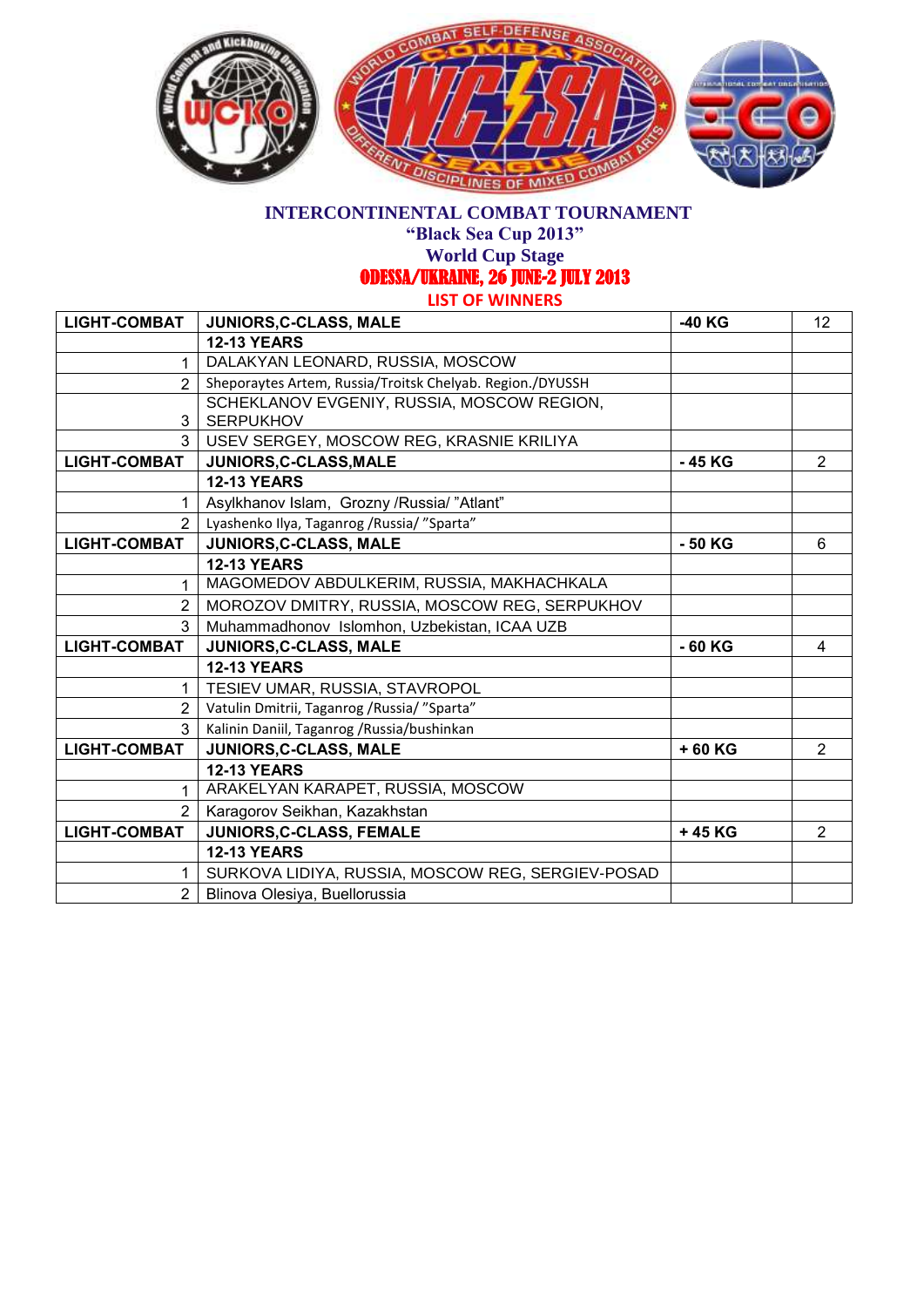

## **INTERCONTINENTAL COMBAT TOURNAMENT**

**"Black Sea Cup 2013"**

**World Cup Stage** 

ODESSA/UKRAINE, 26 JUNE-2 JULY 2013

**LIST OF WINNERS**

| <b>LIGHT-COMBAT</b> | JUNIORS, C-CLASS, MALE                                    | -40 KG   | 12             |
|---------------------|-----------------------------------------------------------|----------|----------------|
|                     | <b>12-13 YEARS</b>                                        |          |                |
| 1                   | DALAKYAN LEONARD, RUSSIA, MOSCOW                          |          |                |
| $\overline{2}$      | Sheporaytes Artem, Russia/Troitsk Chelyab. Region./DYUSSH |          |                |
|                     | SCHEKLANOV EVGENIY, RUSSIA, MOSCOW REGION,                |          |                |
| 3                   | <b>SERPUKHOV</b>                                          |          |                |
| 3                   | USEV SERGEY, MOSCOW REG, KRASNIE KRILIYA                  |          |                |
| <b>LIGHT-COMBAT</b> | JUNIORS, C-CLASS, MALE                                    | -45 KG   | $\overline{2}$ |
|                     | <b>12-13 YEARS</b>                                        |          |                |
| 1                   | Asylkhanov Islam, Grozny /Russia/"Atlant"                 |          |                |
| $\mathcal{P}$       | Lyashenko Ilya, Taganrog / Russia/ "Sparta"               |          |                |
| <b>LIGHT-COMBAT</b> | JUNIORS, C-CLASS, MALE                                    | - 50 KG  | 6              |
|                     | <b>12-13 YEARS</b>                                        |          |                |
| 1                   | MAGOMEDOV ABDULKERIM, RUSSIA, MAKHACHKALA                 |          |                |
| $\overline{2}$      | MOROZOV DMITRY, RUSSIA, MOSCOW REG, SERPUKHOV             |          |                |
| 3 <sup>1</sup>      | Muhammadhonov Islomhon, Uzbekistan, ICAA UZB              |          |                |
| <b>LIGHT-COMBAT</b> | JUNIORS, C-CLASS, MALE                                    | $-60$ KG | 4              |
|                     | <b>12-13 YEARS</b>                                        |          |                |
| 1.                  | TESIEV UMAR, RUSSIA, STAVROPOL                            |          |                |
| $\overline{2}$      | Vatulin Dmitrii, Taganrog / Russia/ "Sparta"              |          |                |
| 3 <sup>1</sup>      | Kalinin Daniil, Taganrog / Russia/bushinkan               |          |                |
| <b>LIGHT-COMBAT</b> | JUNIORS, C-CLASS, MALE                                    | +60 KG   | $\overline{2}$ |
|                     | <b>12-13 YEARS</b>                                        |          |                |
| 1                   | ARAKELYAN KARAPET, RUSSIA, MOSCOW                         |          |                |
| $\mathcal{P}$       | Karagorov Seikhan, Kazakhstan                             |          |                |
| <b>LIGHT-COMBAT</b> | JUNIORS, C-CLASS, FEMALE                                  | +45 KG   | $\overline{2}$ |
|                     | <b>12-13 YEARS</b>                                        |          |                |
| 1                   | SURKOVA LIDIYA, RUSSIA, MOSCOW REG, SERGIEV-POSAD         |          |                |
| $\overline{2}$      | Blinova Olesiya, Buellorussia                             |          |                |